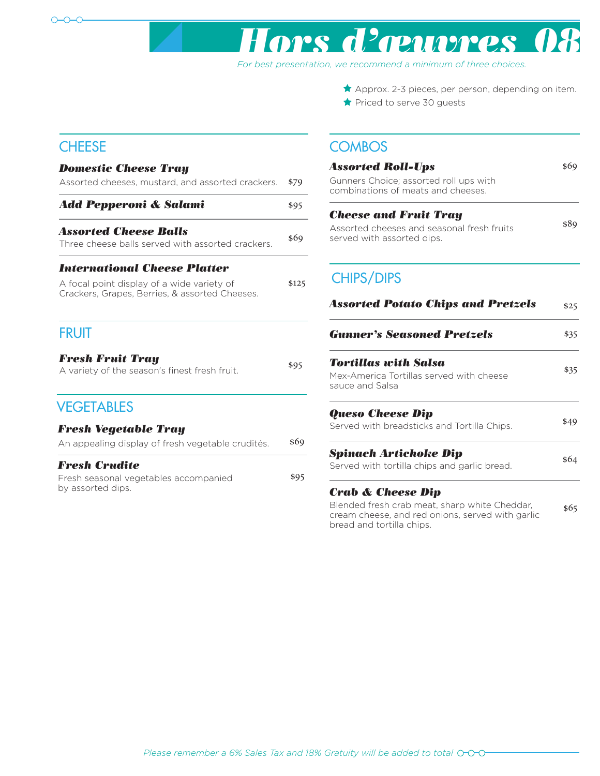

## *Hors d'œuvres 08*

*For best presentation, we recommend a minimum of three choices.*

bread and tortilla chips.

 $\bigstar$  Priced to serve 30 guests  $\star$  Approx. 2-3 pieces, per person, depending on item.

## **CHEESE**

## **VEGETABLES** Assorted cheeses, mustard, and assorted crackers. *Domestic Cheese Tray* \$79 *Add Pepperoni & Salami* \$95 Assorted Cheese Balls<br>Three cheese balls served with assorted crackers. \$69 A focal point display of a wide variety of Crackers, Grapes, Berries, & assorted Cheeses. *International Cheese Platter* \$125 Fresh seasonal vegetables accompanied \$95 by assorted dips. *Fresh Crudite* An appealing display of fresh vegetable crudités. \$69 *Fresh Vegetable Tray*  A variety of the season's finest fresh fruit. **Fresh Fruit Tray** \$95 FRUIT

## **COMBOS**

| <b>Assorted Roll-Ups</b><br>Gunners Choice; assorted roll ups with<br>combinations of meats and cheeses.               | \$69 |
|------------------------------------------------------------------------------------------------------------------------|------|
| Cheese and Fruit Tray<br>Assorted cheeses and seasonal fresh fruits<br>served with assorted dips.                      | \$89 |
| <b>CHIPS/DIPS</b>                                                                                                      |      |
| <b>Assorted Potato Chips and Pretzels</b>                                                                              | \$25 |
| <b>Gunner's Seasoned Pretzels</b>                                                                                      | \$35 |
| Tortillas with Salsa<br>Mex-America Tortillas served with cheese<br>sauce and Salsa                                    | \$35 |
| <b>Queso Cheese Dip</b><br>Served with breadsticks and Tortilla Chips.                                                 | \$49 |
| Spinach Artichoke Dip<br>Served with tortilla chips and garlic bread.                                                  | \$64 |
| Crab & Cheese Dip<br>Blended fresh crab meat, sharp white Cheddar,<br>cream cheese, and red onions, served with garlic | \$65 |